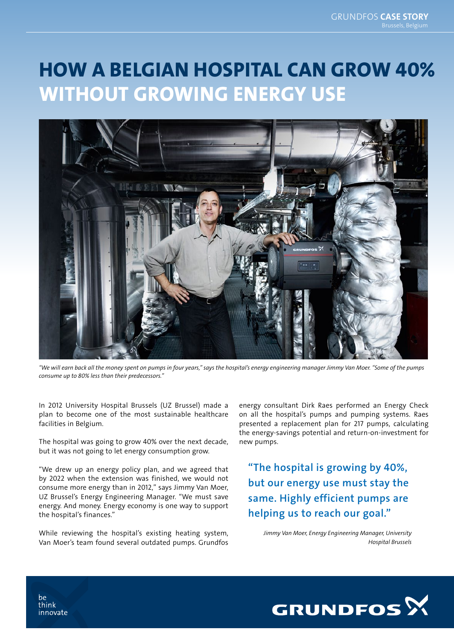## HOW A BELGIAN HOSPITAL CAN GROW 40% WITHOUT GROWING ENERGY USE



*"We will earn back all the money spent on pumps in four years," says the hospital's energy engineering manager Jimmy Van Moer. "Some of the pumps consume up to 80% less than their predecessors."*

In 2012 University Hospital Brussels (UZ Brussel) made a plan to become one of the most sustainable healthcare facilities in Belgium.

The hospital was going to grow 40% over the next decade, but it was not going to let energy consumption grow.

"We drew up an energy policy plan, and we agreed that by 2022 when the extension was finished, we would not consume more energy than in 2012," says Jimmy Van Moer, UZ Brussel's Energy Engineering Manager. "We must save energy. And money. Energy economy is one way to support the hospital's finances."

While reviewing the hospital's existing heating system, Van Moer's team found several outdated pumps. Grundfos energy consultant Dirk Raes performed an Energy Check on all the hospital's pumps and pumping systems. Raes presented a replacement plan for 217 pumps, calculating the energy-savings potential and return-on-investment for new pumps.

"The hospital is growing by 40%, but our energy use must stay the same. Highly efficient pumps are helping us to reach our goal."

*Jimmy Van Moer, Energy Engineering Manager, University Hospital Brussels*



he think innovate